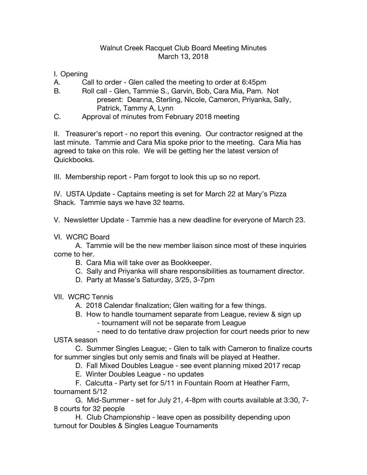## Walnut Creek Racquet Club Board Meeting Minutes March 13, 2018

## I. Opening

- A. Call to order Glen called the meeting to order at 6:45pm
- B. Roll call Glen, Tammie S., Garvin, Bob, Cara Mia, Pam. Not present: Deanna, Sterling, Nicole, Cameron, Priyanka, Sally, Patrick, Tammy A, Lynn
- C. Approval of minutes from February 2018 meeting

II. Treasurer's report - no report this evening. Our contractor resigned at the last minute. Tammie and Cara Mia spoke prior to the meeting. Cara Mia has agreed to take on this role. We will be getting her the latest version of Quickbooks.

III. Membership report - Pam forgot to look this up so no report.

IV. USTA Update - Captains meeting is set for March 22 at Mary's Pizza Shack. Tammie says we have 32 teams.

V. Newsletter Update - Tammie has a new deadline for everyone of March 23.

VI. WCRC Board

A. Tammie will be the new member liaison since most of these inquiries come to her.

- B. Cara Mia will take over as Bookkeeper.
- C. Sally and Priyanka will share responsibilities as tournament director.
- D. Party at Masse's Saturday, 3/25, 3-7pm
- VII. WCRC Tennis
	- A. 2018 Calendar finalization; Glen waiting for a few things.
	- B. How to handle tournament separate from League, review & sign up - tournament will not be separate from League
		- need to do tentative draw projection for court needs prior to new

USTA season

C. Summer Singles League; - Glen to talk with Cameron to finalize courts for summer singles but only semis and finals will be played at Heather.

D. Fall Mixed Doubles League - see event planning mixed 2017 recap

E. Winter Doubles League - no updates

F. Calcutta - Party set for 5/11 in Fountain Room at Heather Farm, tournament 5/12

G. Mid-Summer - set for July 21, 4-8pm with courts available at 3:30, 7- 8 courts for 32 people

H. Club Championship - leave open as possibility depending upon turnout for Doubles & Singles League Tournaments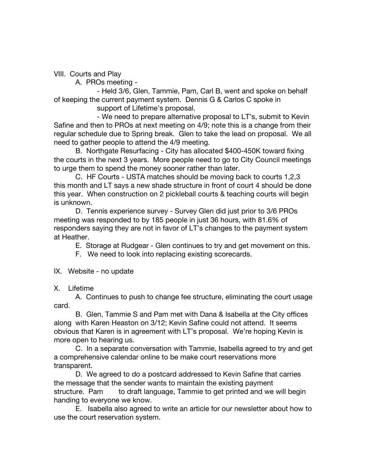VIII. Courts and Play

A. PROs meeting -

- Held 3/6, Glen, Tammie, Pam, Carl B, went and spoke on behalf of keeping the current payment system. Dennis G & Carlos C spoke in

support of Lifetime's proposal.

- We need to prepare alternative proposal to LT's, submit to Kevin Safine and then to PROs at next meeting on 4/9; note this is a change from their regular schedule due to Spring break. Glen to take the lead on proposal. We all need to gather people to attend the 4/9 meeting.

B. Northgate Resurfacing - City has allocated \$400-450K toward fixing the courts in the next 3 years. More people need to go to City Council meetings to urge them to spend the money sooner rather than later.

C. HF Courts - USTA matches should be moving back to courts 1,2,3 this month and LT says a new shade structure in front of court 4 should be done this year. When construction on 2 pickleball courts & teaching courts will begin is unknown.

D. Tennis experience survey - Survey Glen did just prior to 3/6 PROs meeting was responded to by 185 people in just 36 hours, with 81.6% of responders saying they are not in favor of LT's changes to the payment system at Heather.

E. Storage at Rudgear - Glen continues to try and get movement on this.

F. We need to look into replacing existing scorecards.

## IX. Website - no update

X. Lifetime

A. Continues to push to change fee structure, eliminating the court usage card.

B. Glen, Tammie S and Pam met with Dana & Isabella at the City offices along with Karen Heaston on 3/12; Kevin Safine could not attend. It seems obvious that Karen is in agreement with LT's proposal. We're hoping Kevin is more open to hearing us.

C. In a separate conversation with Tammie, Isabella agreed to try and get a comprehensive calendar online to be make court reservations more transparent.

D. We agreed to do a postcard addressed to Kevin Safine that carries the message that the sender wants to maintain the existing payment structure. Pam to draft language, Tammie to get printed and we will begin handing to everyone we know.

E. Isabella also agreed to write an article for our newsletter about how to use the court reservation system.